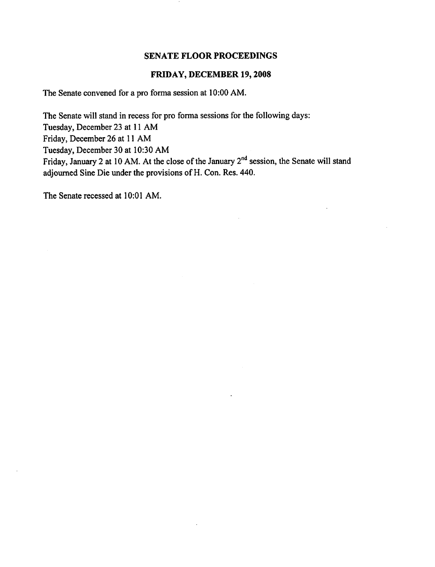#### FRIDAY, DECEMBER 19,2008

The Senate convened for a pro forma session at 10:00 AM.

The Senate will stand in recess for pro forma sessions for the following days: Tuesday, December 23 at 11 AM Friday, December 26 at 11 AM Tuesday, December 30 at 10:30 AM Friday, January 2 at 10 AM. At the close of the January 2<sup>nd</sup> session, the Senate will stand adjourned Sine Die under the provisions of H. Con. Res. 440.

The Senate recessed at 10:01 AM.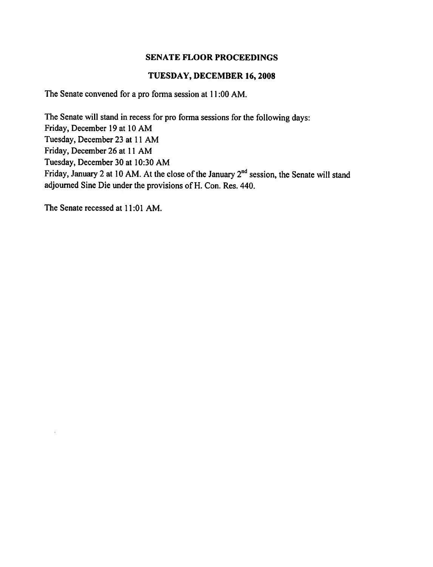#### TUESDAY, DECEMBER 16,2008

The Senate convened for a pro forma session at 11:00 AM.

The Senate will stand in recess for pro forma sessions for the following days: Friday, December 19 at 10 AM Tuesday, December 23 at 11 AM Friday, December 26 at 11 AM Tuesday, December 30 at 10:30 AM Friday, January 2 at 10 AM. At the close of the January 2<sup>nd</sup> session, the Senate will stand adjourned Sine Die under the provisions of H. Con. Res. 440.

The Senate recessed at 11:01 AM.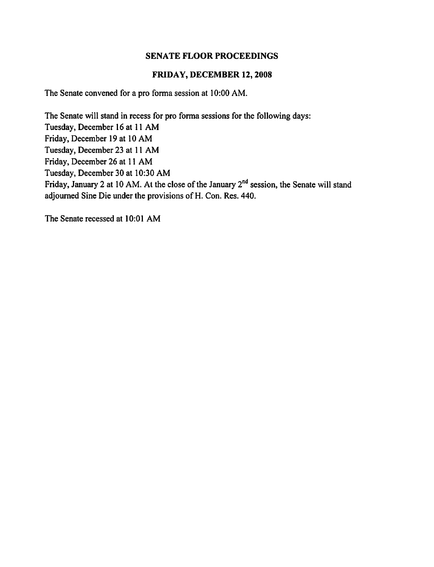#### FRIDAY, DECEMBER 12,2008

The Senate convened for a pro forma session at 10:00 AM.

The Senate will stand in recess for pro forma sessions for the following days: Tuesday, December 16 at 11 AM Friday, December 19 at 10 AM Tuesday, December 23 at 11 AM Friday, December 26 at 11 AM Tuesday, December 30 at 10:30 AM Friday, January 2 at 10 AM. At the close of the January 2<sup>nd</sup> session, the Senate will stand adjourned Sine Die under the provisions of H. Con. Res. 440.

The Senate recessed at 10:01 AM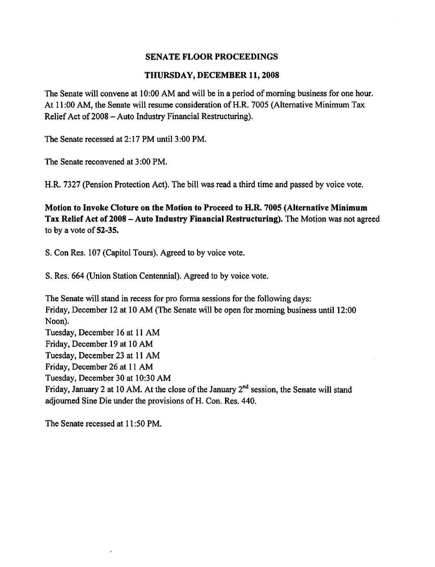#### THURSDAY, DECEMBER 11, 2008

The Senate will convene at 10:00 AM and will be in a period of morning business for one hour. At 11:00 AM, the Senate will resume consideration of H.R. 7005 (Alternative Minimum Tax Relief Act of 2008 - Auto Industry Financial Restructuring).

The Senate recessed at 2:17 PM until 3:00 PM.

The Senate reconvened at 3:00 PM.

H.R. 7327 (Pension Protection Act). The bill was read a third time and passed by voice vote.

Motion to Invoke Cloture on the Motion to Proceed to H.R. 7005 (Alternative Minimum Tax Relief Act of 2008 – Auto Industry Financial Restructuring). The Motion was not agreed to by a vote of 52-35.

S. Con Res. 107 (Capitol Tours). Agreed to by voice vote.

S. Res. 664 (Union Station Centennial). Agreed to by voice vote.

The Senate will stand in recess for pro forma sessions for the following days: Friday, December 12 at 10 AM (The Senate will be open for morning business until 12:00 Noon). Tuesday, December 16 at 11 AM Friday, December 19 at 10 AM Tuesday, December 23 at 11 AM Friday, December 26 at 11 AM Tuesday, December 30 at 10:30 AM Friday, January 2 at 10 AM. At the close of the January 2<sup>nd</sup> session, the Senate will stand adjourned Sine Die under the provisions of H. Con. Res. 440.

The Senate recessed at 11:50 PM.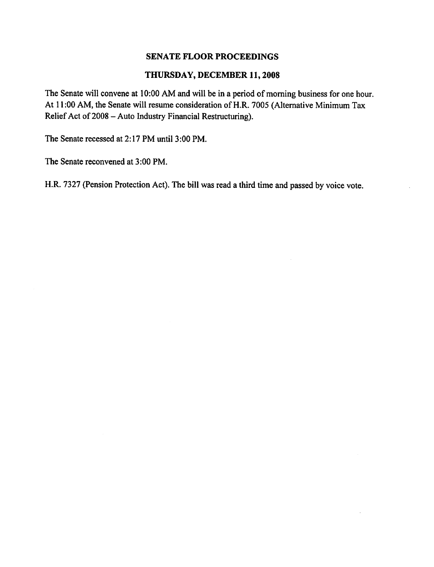#### THURSDAY, DECEMBER 11,2008

The Senate will convene at 10:00 AM and will be in a period of morning business for one hour. At 11:00 AM, the Senate will resume consideration of H.R. 7005 (Alternative Minimum Tax Relief Act of 2008 - Auto Industry Financial Restructuring).

The Senate recessed at 2:17 PM until 3:00 PM.

The Senate reconvened at 3:00 PM.

H.R. 7327 (Pension Protection Act). The bill was read a third time and passed by voice vote.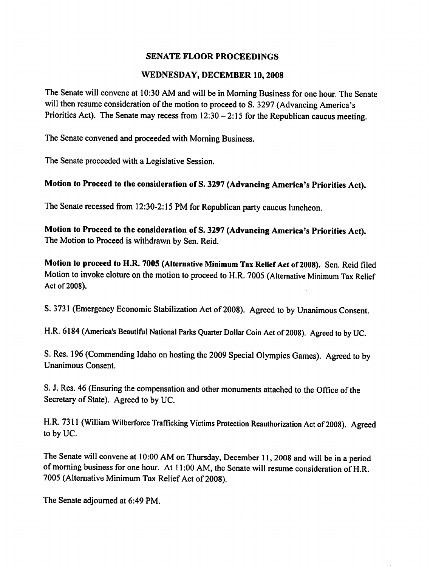## WEDNESDAY, DECEMBER 10,2008

The Senate will convene at 10:30 AM and will be in Morning Business for one hour. The Senate will then resume consideration of the motion to proceed to S. 3297 (Advancing America's Priorities Act). The Senate may recess from  $12:30 - 2:15$  for the Republican caucus meeting.

The Senate convened and proceeded with Morning Business.

The Senate proceeded with a Legislative Session.

## Motion to Proceed to the consideration of S. 3297 (Advancing America's Priorities Act).

The Senate recessed from 12:30-2:15 PM for Republican party caucus luncheon.

Motion to Proceed to the consideration of S. 3297 (Advancing America's Priorities Act). The Motion to Proceed is withdrawn by Sen. Reid.

Motion to proceed to H.R. 7005 (Alternative Minimum Tax Relief Act of 2008). Sen. Reid filed Motion to invoke cloture on the motion to proceed to H.R. 7005 (Alternative Minimum Tax Relief Act of 2008).

S. 3731 (Emergency Economic Stabilization Act of 2008). Agreed to by Unanimous Consent.

H.R. 6184 (America's Beautiful National Parks Quarter Dollar Coin Act of 2008). Agreed to by UC.

S. Res. 196 (Commending Idaho on hosting the 2009 Special Olympics Games). Agreed to by Unanimous Consent.

S. J. Res. 46 (Ensuring the compensation and other monuments attached to the Office of the Secretary of State). Agreed to by UC.

H.R. 7311 (William Wilberforce Trafficking Victims Protection Reauthorization Act of 2008). Agreed to by UC.

The Senate will convene at 10:00 AM on Thursday, December 11, 2008 and will be in a period of morning business for one hour. At 11:00 AM, the Senate will resume consideration of H.R. 7005 (Alternative Minimum Tax Relief Act of 2008).

The Senate adjourned at 6:49 PM.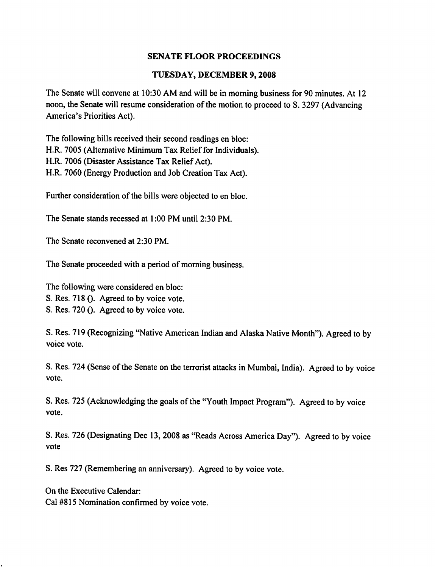## TUESDAY, DECEMBER 9,2008

The Senate will convene at 10:30 AM and will be in morning business for 90 minutes. At 12 noon, the Senate will resume consideration of the motion to proceed to S. 3297 (Advancing America's Priorities Act).

The following bills received their second readings en bloc: H.R. 7005 (Alternative Minimum Tax Relief for Individuals). H.R. 7006 (Disaster Assistance Tax Relief Act). H.R. 7060 (Energy Production and Job Creation Tax Act).

Further consideration of the bills were objected to en bloc.

The Senate stands recessed at 1:00 PM until 2:30 PM.

The Senate reconvened at 2:30 PM.

The Senate proceeded with a period of morning business.

The following were considered en bloc:

S. Res. 718 (). Agreed to by voice vote.

S. Res. 720 (). Agreed to by voice vote.

S. Res. 719 (Recognizing "Native American Indian and Alaska Native Month"). Agreed to by voice vote.

S. Res. 724 (Sense of the Senate on the terrorist attacks in Mumbai, India). Agreed to by voice vote.

S. Res. 725 (Acknowledging the goals of the "Youth Impact Program"). Agreed to by voice vote.

S. Res. 726 (Designating Dec 13,2008 as "Reads Across America Day"). Agreed to by voice vote

S. Res 727 (Remembering an anniversary). Agreed to by voice vote.

On the Executive Calendar: Cal #815 Nomination confirmed by voice vote.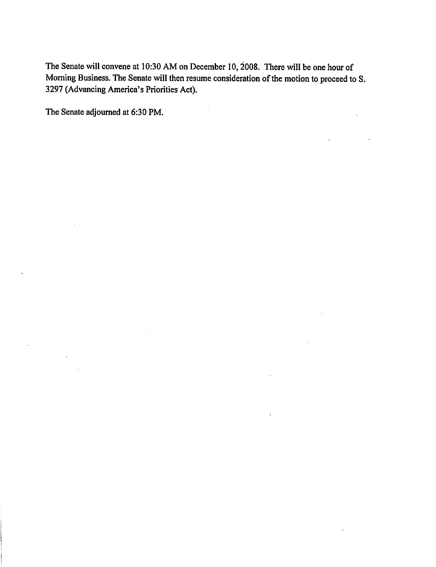The Senate will convene at 10:30 AM on December 10, 2008. There will be one hour of Morning Business. The Senate will then resume consideration of the motion to proceed to S. 3297 (Advancing America's Priorities Act).

The Senate adjourned at 6:30 PM.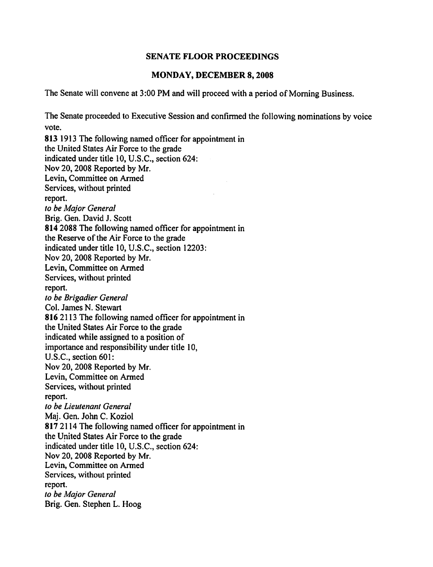#### MONDAY, DECEMBER 8,2008

The Senate will convene at 3:00 PM and will proceed with a period of Morning Business.

The Senate proceeded to Executive Session and confirmed the following nominations by voice vote. 813 1913 The following named officer for appointment in the United States Air Force to the grade indicated under title 10, U.S.C., section 624: Nov 20,2008 Reported by Mr. Levin, Committee on Armed Services, without printed report. to be Major General Brig. Gen. David J. Scott 814 2088 The following named officer for appointment in the Reserve of the Air Force to the grade indicated under title 10, U.S.C., section 12203: Nov 20,2008 Reported by Mr. Levin, Committee on Armed Services, without printed report. to be Brigadier General Col. James N. Stewart 816 2113 The following named officer for appointment in the United States Air Force to the grade indicated while assigned to a position of importance and responsibility under title 10, U.S.C., section 601: Nov 20,2008 Reported by Mr. Levin, Committee on Armed Services, without printed report. to be Lieutenant General Maj. Gen. John C. Koziol 817 2114 The following named officer for appointment in the United States Air Force to the grade indicated under title 10, U.S.C., section 624: Nov 20, 2008 Reported by Mr. Levin, Committee on Armed Services, without printed report. to be Major General Brig. Gen. Stephen L. Hoog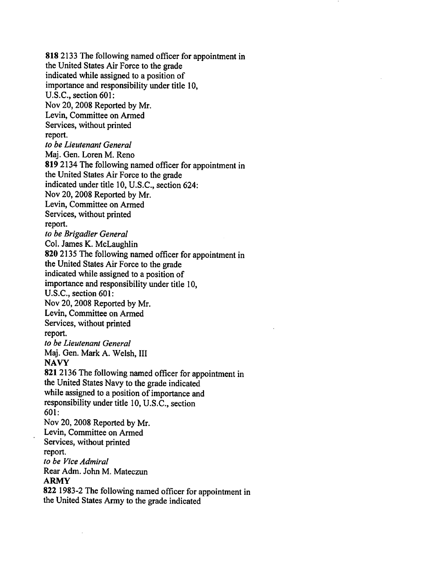818 2133 The following named officer for appointment in the United States Air Force to the grade indicated while assigned to a position of importance and responsibility under title 10, U.S.C., section 601: Nov 20,2008 Reported by Mr. Levin, Committee on Armed Services, without printed report. to be Lieutenant General Maj. Gen. Loren M. Reno 819 2134 The following named officer for appointment in the United States Air Force to the grade indicated under title 10, U.S.C., section 624: Nov 20,2008 Reported by Mr. Levin, Committee on Armed Services, without printed report. to be Brigadier General Col. James K. McLaughlin 820 2135 The following named officer for appointment in the United States Air Force to the grade indicated while assigned to a position of importance and responsibility under title 10, U.S.C., section 601: Nov 20,2008 Reported by Mr. Levin, Committee on Armed Services, without printed report. to be Lieutenant General Maj. Gen. Mark A. Welsh, III **NAVY** 821 2136 The following named officer for appointment in the United States Navy to the grade indicated while assigned to a position of importance and responsibility under title 10, U.S.C., section 601: Nov 20, 2008 Reported by Mr. Levin, Committee on Armed Services, without printed report. to be Vice Admiral Rear Adm. John M. Mateczun ARMY 822 1983-2 The following named officer for appointment in

the United States Army to the grade indicated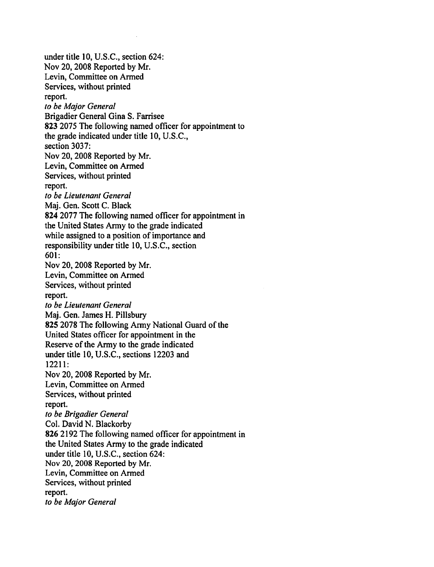under title 10, U.S.C., section 624: Nov 20,2008 Reported by Mr. Levin, Committee on Armed Services, without printed report. to be Major General Brigadier General Gina S. Farrisee 823 2075 The following named officer for appointment to the grade indicated under title 10, U.S.C., section 3037: Nov 20,2008 Reported by Mr. Levin, Committee on Armed Services, without printed report. to be Lieutenant General Maj. Gen. Scott C. Black 824 2077 The following named officer for appointment in the United States Army to the grade indicated while assigned to a position of importance and responsibility under title 10, U.S.C., section 601: Nov 20,2008 Reported by Mr. Levin, Committee on Armed Services, without printed report. to be Lieutenant General Maj. Gen. James H. Pillsbury 825 2078 The following Army National Guard of the United States officer for appointment in the Reserve of the Army to the grade indicated under title 10, U.S.C., sections 12203 and 12211: Nov 20,2008 Reported by Mr. Levin, Committee on Armed Services, without printed report. to be Brigadier General Col. David N. Blackorby 826 2192 The following named officer for appointment in the United States Army to the grade indicated under title 10, U.S.C., section 624: Nov 20, 2008 Reported by Mr. Levin, Committee on Armed Services, without printed report. to be Major General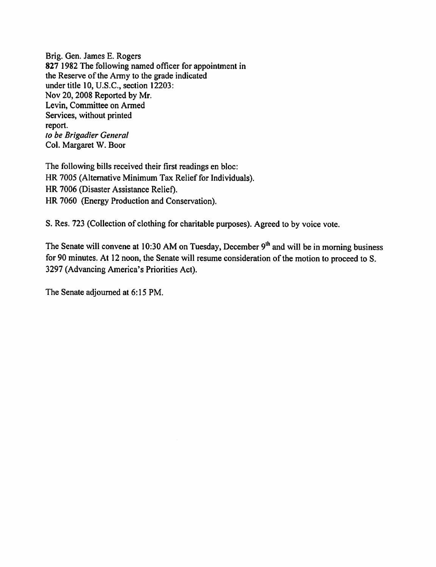Brig. Gen. James E. Rogers 827 1982 The following named officer for appointment in the Reserve of the Army to the grade indicated under title 10, U.S.C., section 12203: Nov 20,2008 Reported by Mr. Levin, Committee on Armed Services, without printed report. to be Brigadier General Col. Margaret W. Boor

The following bills received their first readings en bloc: HR 7005 (Alternative Minimum Tax Relief for Individuals). HR 7006 (Disaster Assistance Relief). HR 7060 (Energy Production and Conservation).

S. Res. 723 (Collection of clothing for charitable purposes). Agreed to by voice vote.

The Senate will convene at 10:30 AM on Tuesday, December  $9<sup>th</sup>$  and will be in morning business for 90 minutes. At 12 noon, the Senate will resume consideration of the motion to proceed to S. 3297 (Advancing America's Priorities Act).

The Senate adjourned at 6:15 PM.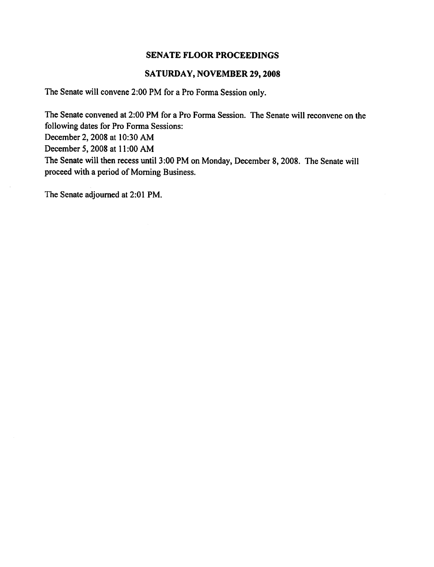## SATURDAY, NOVEMBER 29,2008

The Senate will convene 2:00 PM for a Pro Forma Session only.

The Senate convened at 2:00 PM for a Pro Forma Session. The Senate will reconvene on the following dates for Pro Forma Sessions: December 2,2008 at 10:30 AM December 5,2008 at 11:00 AM The Senate will then recess until 3:00 PM on Monday, December 8, 2008. The Senate will proceed with a period of Morning Business.

The Senate adjourned at 2:01 PM.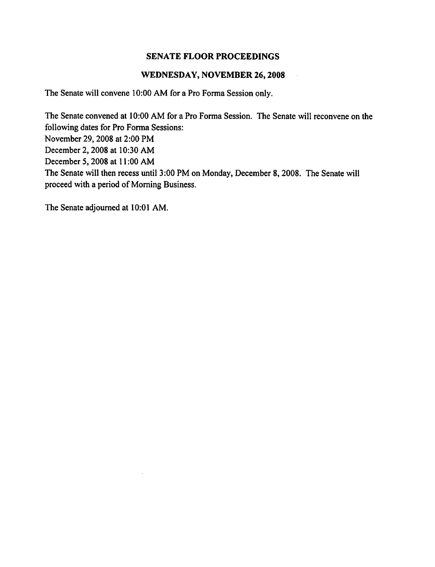#### WEDNESDAY, NOVEMBER 26,2008

The Senate will convene 10:00 AM for a Pro Forma Session only.

The Senate convened at 10:00 AM for a Pro Forma Session. The Senate will reconvene on the following dates for Pro Forma Sessions: November 29,2008 at 2:00 PM December 2,2008 at 10:30 AM December 5,2008 at 11:00 AM The Senate will then recess until 3:00 PM on Monday, December 8,2008. The Senate will proceed with a period of Morning Business.

The Senate adjourned at 10:01 AM.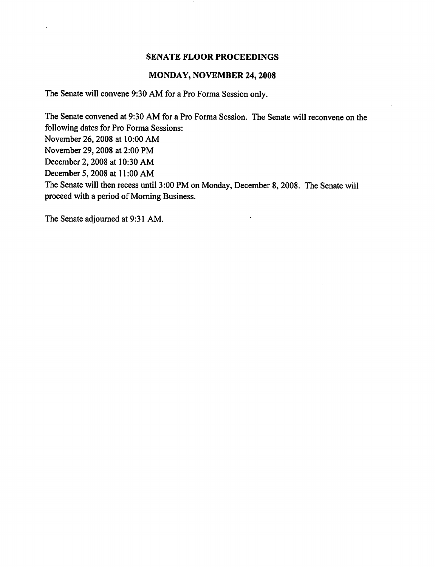## MONDAY, NOVEMBER 24,2008

The Senate will convene 9:30 AM for a Pro Forma Session only.

The Senate convened at 9:30 AM for a Pro Forma Session. The Senate will reconvene on the following dates for Pro Forma Sessions: November 26,2008 at 10:00 AM November 29,2008 at 2:00 PM December 2,2008 at 10:30 AM December 5,2008 at 11:00 AM The Senate will then recess until 3:00 PM on Monday, December 8,2008. The Senate will proceed with a period of Morning Business.

 $\ddot{\phantom{0}}$ 

The Senate adjourned at 9:31 AM.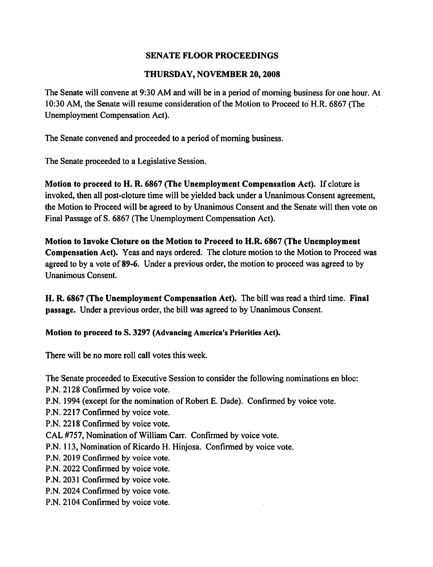## THURSDAY, NOVEMBER 20,2008

The Senate will convene at 9:30 AM and will be in a period of morning business for one hour. At 10:30 AM, the Senate will resume consideration of the Motion to Proceed to H.R. 6867 (The Unemployment Compensation Act).

The Senate convened and proceeded to a period of morning business.

The Senate proceeded to a Legislative Session.

Motion to proceed to H. R. 6867 (The Unemployment Compensation Act). If cloture is invoked, then all post-cloture time will be yielded back under a Unanimous Consent agreement, the Motion to Proceed will be agreed to by Unanimous Consent and the Senate will then vote on Final Passage of S. 6867 (The Unemployment Compensation Act).

Motion to Invoke Cloture on the Motion to Proceed to H.R. 6867 (The Unemployment Compensation Act). Yeas and nays ordered. The cloture motion to the Motion to Proceed was agreed to by a vote of 89-6. Under a previous order, the motion to proceed was agreed to by Unanimous Consent.

H. R. 6867 (The Unemployment Compensation Act). The bill was read a third time. Final passage. Under a previous order, the bill was agreed to by Unanimous Consent.

Motion to proceed to S. 3297 (Advancing America's Priorities Act).

There will be no more roll call votes this week.

The Senate proceeded to Executive Session to consider the following nominations en bloc:

P.N. 2128 Confirmed by voice vote.

P.N. 1994 (except for the nomination of Robert E. Dade). Confirmed by voice vote.

P.N. 2217 Confirmed by voice vote.

P.N. 2218 Confirmed by voice vote.

CAL #757, Nomination of William Carr. Confirmed by voice vote.

P.N. 113, Nomination of Ricardo H. Hinjosa. Confirmed by voice vote.

P.N. 2019 Confirmed by voice vote.

P.N. 2022 Confirmed by voice vote.

P.N. 2031 Confirmed by voice vote.

P.N. 2024 Confirmed by voice vote.

P.N. 2104 Confirmed by voice vote.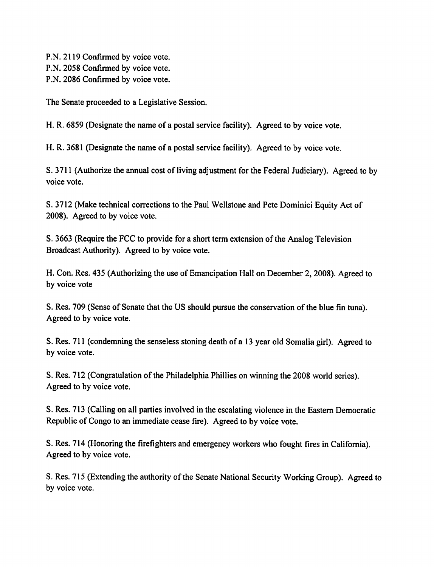P.N. 2119 Confirmed by voice vote. P.N. 2058 Confirmed by voice vote. P.N. 2086 Confirmed by voice vote.

The Senate proceeded to a Legislative Session.

H. R. 6859 (Designate the name of a postal service facility). Agreed to by voice vote.

H. R. 3681 (Designate the name of a postal service facility). Agreed to by voice vote.

S. 3711 (Authorize the annual cost of living adjustment for the Federal Judiciary). Agreed to by voice vote.

S. 3712 (Make technical corrections to the Paul Wellstone and Pete Dominici Equity Act of 2008). Agreed to by voice vote.

S. 3663 (Require the FCC to provide for a short term extension of the Analog Television Broadcast Authority). Agreed to by voice vote.

H. Con. Res. 435 (Authorizing the use of Emancipation Hall on December 2,2008). Agreed to by voice vote

S. Res. 709 (Sense of Senate that the US should pursue the conservation of the blue fin tuna). Agreed to by voice vote.

S. Res. 711 (condemning the senseless stoning death of a 13 year old Somalia girl). Agreed to by voice vote.

S. Res. 712 (Congratulation of the Philadelphia Phillies on winning the 2008 world series). Agreed to by voice vote.

S. Res. 713 (Calling on all parties involved in the escalating violence in the Eastern Democratic Republic of Congo to an immediate cease fire). Agreed to by voice vote.

S. Res. 714 (Honoring the firefighters and emergency workers who fought fires in California). Agreed to by voice vote.

S. Res. 715 (Extending the authority of the Senate National Security Working Group). Agreed to by voice vote.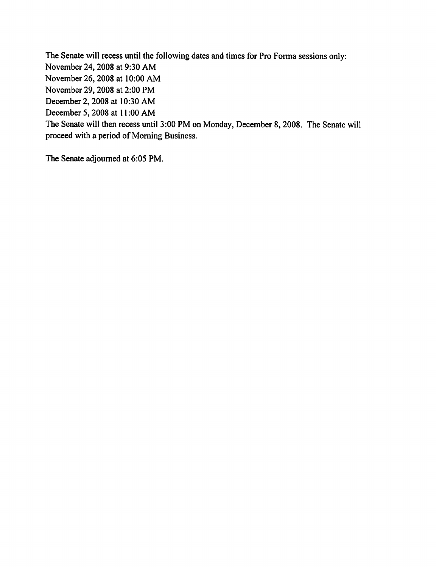The Senate will recess until the following dates and times for Pro Forma sessions only: November 24,2008 at 9:30 AM November 26,2008 at 10:00 AM November 29,2008 at 2:00 PM December 2,2008 at 10:30 AM December 5,2008 at 11:00 AM The Senate will then recess until 3:00 PM on Monday, December 8,2008. The Senate will proceed with a period of Morning Business.

The Senate adjourned at 6:05 PM.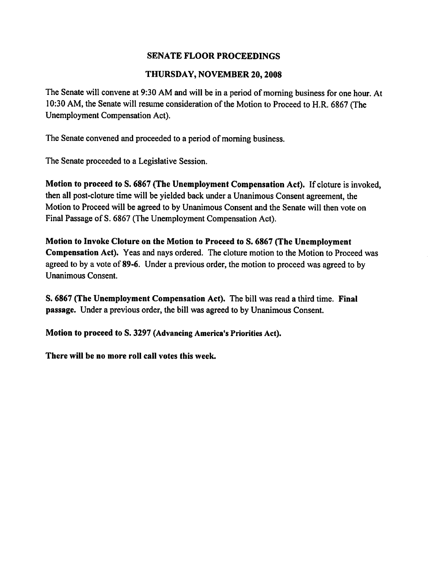## THURSDAY, NOVEMBER 20,2008

The Senate will convene at 9:30 AM and will be in a period of morning business for one hour. At 10:30 AM, the Senate will resume consideration of the Motion to Proceed to H.R. 6867 (The Unemployment Compensation Act).

The Senate convened and proceeded to a period of morning business.

The Senate proceeded to a Legislative Session.

Motion to proceed to S. 6867 (The Unemployment Compensation Act). If cloture is invoked, then all post-cloture time will be yielded back under a Unanimous Consent agreement, the Motion to Proceed will be agreed to by Unanimous Consent and the Senate will then vote on Final Passage of S. 6867 (The Unemployment Compensation Act).

Motion to Invoke Cloture on the Motion to Proceed to S. 6867 (The Unemployment Compensation Act). Yeas and nays ordered. The cloture motion to the Motion to Proceed was agreed to by a vote of 89-6. Under a previous order, the motion to proceed was agreed to by Unanimous Consent.

S. 6867 (The Unemployment Compensation Act). The bill was read a third time. Final passage. Under a previous order, the bill was agreed to by Unanimous Consent.

Motion to proceed to S. 3297 (Advancing America's Priorities Act).

There will be no more roll call votes this week.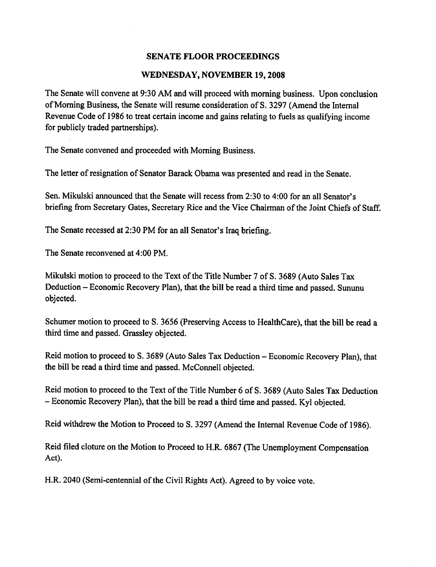#### WEDNESDAY, NOVEMBER 19,2008

The Senate will convene at 9:30 AM and will proceed with morning business. Upon conclusion of Morning Business, the Senate will resume consideration of S. 3297 (Amend the Internal Revenue Code of 1986 to treat certain income and gains relating to fuels as qualifying income for publicly traded partnerships).

The Senate convened and proceeded with Morning Business.

The letter of resignation of Senator Barack Obama was presented and read in the Senate.

Sen. Mikulski announced that the Senate will recess from 2:30 to 4:00 for an all Senator's briefing from Secretary Gates, Secretary Rice and the Vice Chairman of the Joint Chiefs of Staff.

The Senate recessed at 2:30 PM for an all Senator's Iraq briefing.

The Senate reconvened at 4:00 PM.

Mikulski motion to proceed to the Text of the Title Number 7 of S. 3689 (Auto Sales Tax Deduction - Economic Recovery Plan), that the bill be read a third time and passed. Sununu objected.

Schumer motion to proceed to S. 3656 (Preserving Access to HealthCare), that the bill be read a third time and passed. Grassley objected.

Reid motion to proceed to S. 3689 (Auto Sales Tax Deduction – Economic Recovery Plan), that the bill be read a third time and passed. McConnell objected.

Reid motion to proceed to the Text of the Title Number 6 of S. 3689 (Auto Sales Tax Deduction Economic Recovery Plan), that the bill be read a third time and passed. Kyi objected.

Reid withdrew the Motion to Proceed to S. 3297 (Amend the Internal Revenue Code of 1986).

Reid filed cloture on the Motion to Proceed to H.R. 6867 (The Unemployment Compensation Act).

H.R. 2040 (Semi-centennial of the Civil Rights Act). Agreed to by voice vote.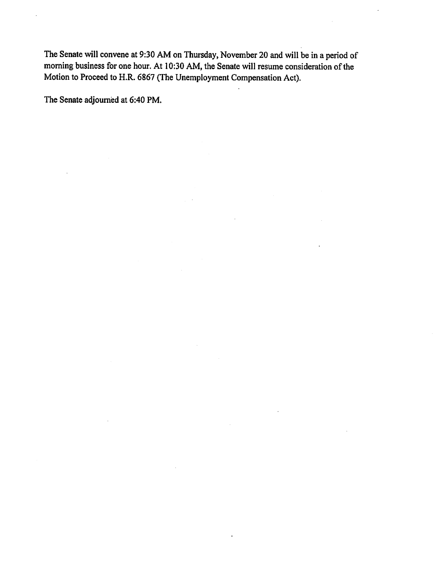The Senate will convene at 9:30 AM on Thursday, November 20 and will be in a period of morning business for one hour. At 10:30 AM, the Senate will resume consideration of the Motion to Proceed to H.R. 6867 (The Unemployment Compensation Act).

The Senate adjourned at 6:40 PM.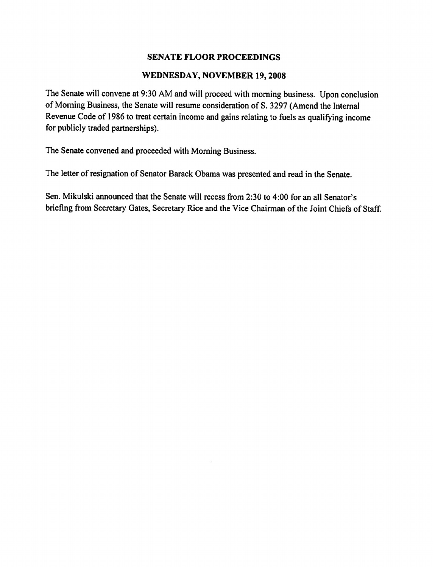#### WEDNESDAY, NOVEMBER 19,2008

The Senate will convene at 9:30 AM and will proceed with morning business. Upon conclusion of Morning Business, the Senate will resume consideration of S. 3297 (Amend the Internal Revenue Code of 1986 to treat certain income and gains relating to fuels as qualifying income for publicly traded partnerships).

The Senate convened and proceeded with Morning Business.

The letter of resignation of Senator Barack Obama was presented and read in the Senate.

Sen. Mikulski announced that the Senate will recess from 2:30 to 4:00 for an all Senator's briefing from Secretary Gates, Secretary Rice and the Vice Chairman of the Joint Chiefs of Staff.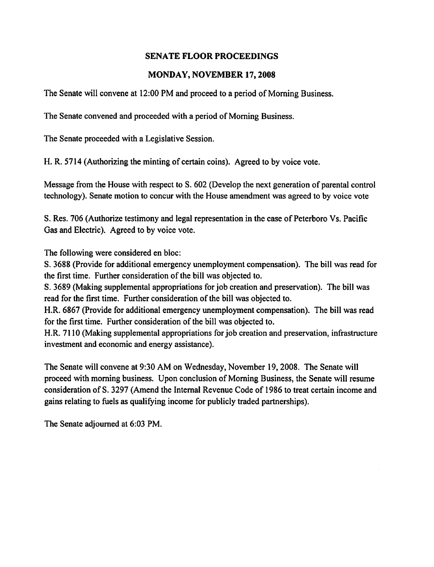## MONDAY, NOVEMBER 17,2008

The Senate will convene at 12:00 PM and proceed to a period of Morning Business.

The Senate convened and proceeded with a period of Morning Business.

The Senate proceeded with a Legislative Session.

H. R. 5714 (Authorizing the minting of certain coins). Agreed to by voice vote.

Message from the House with respect to S. 602 (Develop the next generation of parental control technology). Senate motion to concur with the House amendment was agreed to by voice vote

S. Res. 706 (Authorize testimony and legal representation in the case of Peterboro Vs. Pacific Gas and Electric). Agreed to by voice vote.

The following were considered en bloc:

S. 3688 (Provide for additional emergency unemployment compensation). The bill was read for the first time. Further consideration of the bill was objected to.

S. 3689 (Making supplemental appropriations for job creation and preservation). The bill was read for the first time. Further consideration of the bill was objected to.

H.R. 6867 (Provide for additional emergency unemployment compensation). The bill was read for the first time. Further consideration of the bill was objected to.

H.R. 7110 (Making supplemental appropriations for job creation and preservation, infrastructure investment and economic and energy assistance).

The Senate will convene at 9:30 AM on Wednesday, November 19,2008. The Senate will proceed with morning business. Upon conclusion of Morning Business, the Senate will resume consideration of S. 3297 (Amend the Internal Revenue Code of 1986 to treat certain income and gains relating to fuels as qualifying income for publicly traded partnerships).

The Senate adjourned at 6:03 PM.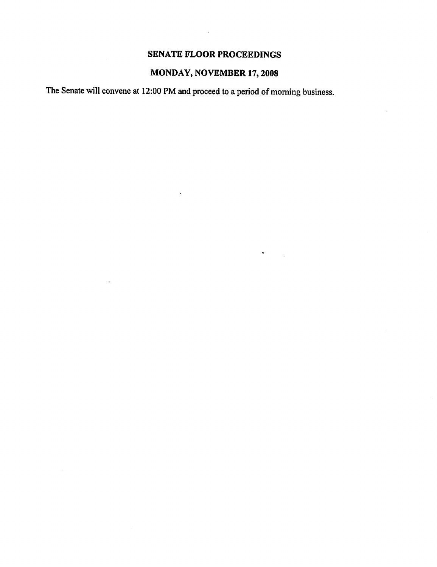$\bar{\omega}$ 

# MONDAY, NOVEMBER 17,2008

 $\bullet$ 

The Senate will convene at 12:00 PM and proceed to a period of morning business.

 $\ddot{\phantom{1}}$ 

 $\overline{\phantom{a}}$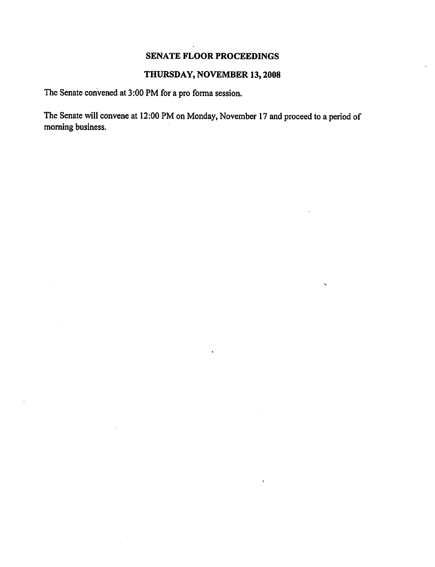## THURSDAY, NOVEMBER 13,2008

The Senate convened at 3:00 PM for a pro forma session.

The Senate will convene at 12:00 PM on Monday, November 17 and proceed to a period of morning business.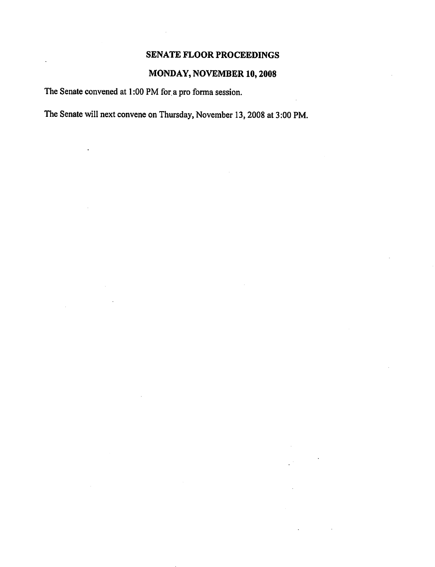# MONDAY, NOVEMBER 10,2008

The Senate convened at 1:00 PM for a pro forma session.

The Senate will next convene on Thursday, November 13,2008 at 3:00 PM.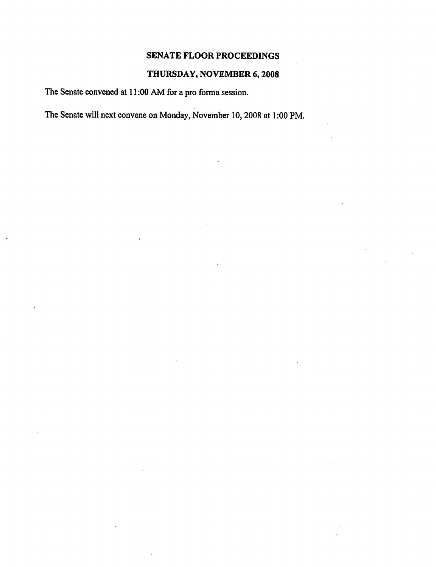# THURSDAY, NOVEMBER 6,2008

The Senate convened at 11:00 AM for a pro forma session.

The Senate will next convene on Monday, November 10,2008 at 1:00 PM.